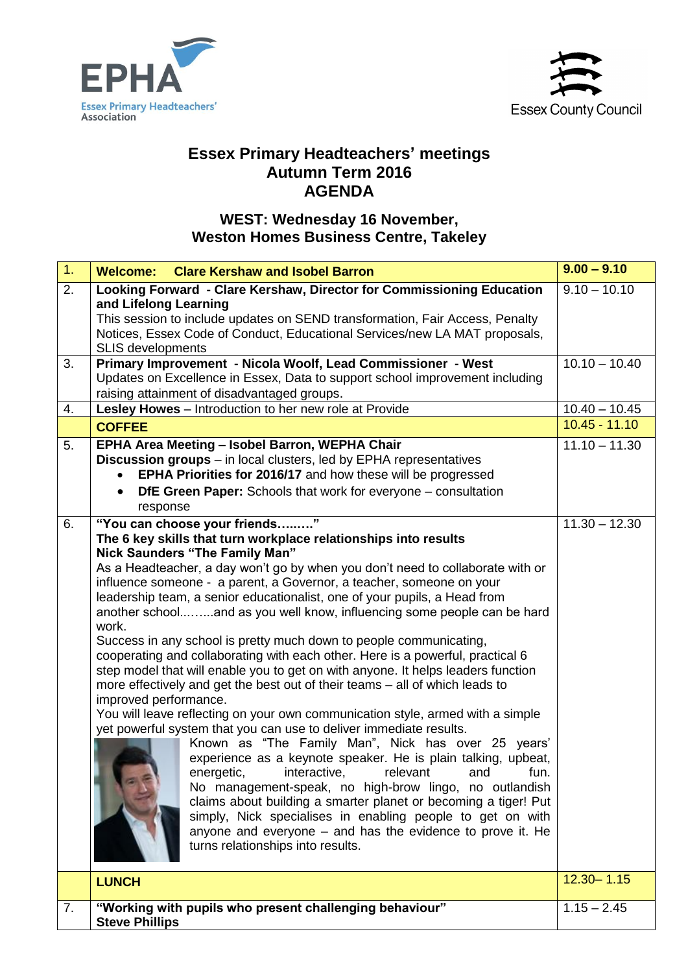



## **Essex Primary Headteachers' meetings Autumn Term 2016 AGENDA**

## **WEST: Wednesday 16 November, Weston Homes Business Centre, Takeley**

| 1.               | <b>Clare Kershaw and Isobel Barron</b><br><b>Welcome:</b>                                                                                                                                                                                                                                                                                                                                                                                                                                                                                                                                                                                                                                                                                                                                                                                                                                                                                                                                                                                                                                                                                                                                                                                                                                                                                                                                                            | $9.00 - 9.10$                      |
|------------------|----------------------------------------------------------------------------------------------------------------------------------------------------------------------------------------------------------------------------------------------------------------------------------------------------------------------------------------------------------------------------------------------------------------------------------------------------------------------------------------------------------------------------------------------------------------------------------------------------------------------------------------------------------------------------------------------------------------------------------------------------------------------------------------------------------------------------------------------------------------------------------------------------------------------------------------------------------------------------------------------------------------------------------------------------------------------------------------------------------------------------------------------------------------------------------------------------------------------------------------------------------------------------------------------------------------------------------------------------------------------------------------------------------------------|------------------------------------|
| $\overline{2}$ . | Looking Forward - Clare Kershaw, Director for Commissioning Education<br>and Lifelong Learning<br>This session to include updates on SEND transformation, Fair Access, Penalty<br>Notices, Essex Code of Conduct, Educational Services/new LA MAT proposals,<br><b>SLIS developments</b>                                                                                                                                                                                                                                                                                                                                                                                                                                                                                                                                                                                                                                                                                                                                                                                                                                                                                                                                                                                                                                                                                                                             | $9.10 - 10.10$                     |
| 3.               | Primary Improvement - Nicola Woolf, Lead Commissioner - West<br>Updates on Excellence in Essex, Data to support school improvement including<br>raising attainment of disadvantaged groups.                                                                                                                                                                                                                                                                                                                                                                                                                                                                                                                                                                                                                                                                                                                                                                                                                                                                                                                                                                                                                                                                                                                                                                                                                          | $10.\overline{10 - 10.40}$         |
| 4.               | Lesley Howes - Introduction to her new role at Provide                                                                                                                                                                                                                                                                                                                                                                                                                                                                                                                                                                                                                                                                                                                                                                                                                                                                                                                                                                                                                                                                                                                                                                                                                                                                                                                                                               | $10.40 - 10.45$                    |
|                  | <b>COFFEE</b>                                                                                                                                                                                                                                                                                                                                                                                                                                                                                                                                                                                                                                                                                                                                                                                                                                                                                                                                                                                                                                                                                                                                                                                                                                                                                                                                                                                                        | $10.45 - 11.10$                    |
| 5.<br>6.         | EPHA Area Meeting - Isobel Barron, WEPHA Chair<br><b>Discussion groups</b> – in local clusters, led by EPHA representatives<br>EPHA Priorities for 2016/17 and how these will be progressed<br><b>DfE Green Paper:</b> Schools that work for everyone – consultation<br>response<br>"You can choose your friends"                                                                                                                                                                                                                                                                                                                                                                                                                                                                                                                                                                                                                                                                                                                                                                                                                                                                                                                                                                                                                                                                                                    | $11.10 - 11.30$<br>$11.30 - 12.30$ |
|                  | The 6 key skills that turn workplace relationships into results<br>Nick Saunders "The Family Man"<br>As a Headteacher, a day won't go by when you don't need to collaborate with or<br>influence someone - a parent, a Governor, a teacher, someone on your<br>leadership team, a senior educationalist, one of your pupils, a Head from<br>another schooland as you well know, influencing some people can be hard<br>work.<br>Success in any school is pretty much down to people communicating,<br>cooperating and collaborating with each other. Here is a powerful, practical 6<br>step model that will enable you to get on with anyone. It helps leaders function<br>more effectively and get the best out of their teams - all of which leads to<br>improved performance.<br>You will leave reflecting on your own communication style, armed with a simple<br>yet powerful system that you can use to deliver immediate results.<br>Known as "The Family Man", Nick has over 25 years'<br>experience as a keynote speaker. He is plain talking, upbeat,<br>energetic,<br>interactive.<br>relevant and<br>fun.<br>No management-speak, no high-brow lingo, no outlandish<br>claims about building a smarter planet or becoming a tiger! Put<br>simply, Nick specialises in enabling people to get on with<br>anyone and everyone - and has the evidence to prove it. He<br>turns relationships into results. |                                    |
|                  | <b>LUNCH</b>                                                                                                                                                                                                                                                                                                                                                                                                                                                                                                                                                                                                                                                                                                                                                                                                                                                                                                                                                                                                                                                                                                                                                                                                                                                                                                                                                                                                         | $12.30 - 1.15$                     |
| 7.               | "Working with pupils who present challenging behaviour"<br><b>Steve Phillips</b>                                                                                                                                                                                                                                                                                                                                                                                                                                                                                                                                                                                                                                                                                                                                                                                                                                                                                                                                                                                                                                                                                                                                                                                                                                                                                                                                     | $1.15 - 2.45$                      |